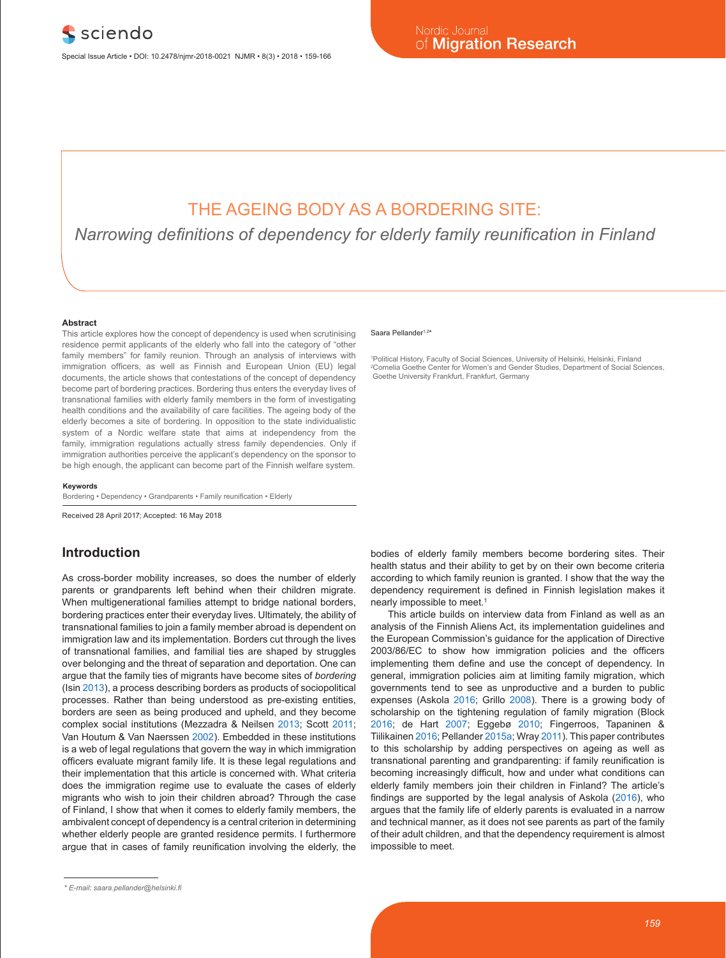# THE AGEING BODY AS A BORDERING SITE:

*Narrowing definitions of dependency for elderly family reunification in Finland*

#### **Abstract**

This article explores how the concept of dependency is used when scrutinising residence permit applicants of the elderly who fall into the category of "other family members" for family reunion. Through an analysis of interviews with immigration officers, as well as Finnish and European Union (EU) legal documents, the article shows that contestations of the concept of dependency become part of bordering practices. Bordering thus enters the everyday lives of transnational families with elderly family members in the form of investigating health conditions and the availability of care facilities. The ageing body of the elderly becomes a site of bordering. In opposition to the state individualistic system of a Nordic welfare state that aims at independency from the family, immigration regulations actually stress family dependencies. Only if immigration authorities perceive the applicant's dependency on the sponsor to be high enough, the applicant can become part of the Finnish welfare system.

#### **Keywords**

Bordering • Dependency • Grandparents • Family reunification • Elderly

Received 28 April 2017; Accepted: 16 May 2018

# **Introduction**

As cross-border mobility increases, so does the number of elderly parents or grandparents left behind when their children migrate. When multigenerational families attempt to bridge national borders, bordering practices enter their everyday lives. Ultimately, the ability of transnational families to join a family member abroad is dependent on immigration law and its implementation. Borders cut through the lives of transnational families, and familial ties are shaped by struggles over belonging and the threat of separation and deportation. One can argue that the family ties of migrants have become sites of *bordering* (Isin 2013), a process describing borders as products of sociopolitical processes. Rather than being understood as pre-existing entities, borders are seen as being produced and upheld, and they become complex social institutions (Mezzadra & Neilsen 2013; Scott 2011; Van Houtum & Van Naerssen 2002). Embedded in these institutions is a web of legal regulations that govern the way in which immigration officers evaluate migrant family life. It is these legal regulations and their implementation that this article is concerned with. What criteria does the immigration regime use to evaluate the cases of elderly migrants who wish to join their children abroad? Through the case of Finland, I show that when it comes to elderly family members, the ambivalent concept of dependency is a central criterion in determining whether elderly people are granted residence permits. I furthermore argue that in cases of family reunification involving the elderly, the

#### Saara Pellander<sup>1,2\*</sup>

1 Political History, Faculty of Social Sciences, University of Helsinki, Helsinki, Finland 2 Cornelia Goethe Center for Women's and Gender Studies, Department of Social Sciences, Goethe University Frankfurt, Frankfurt, Germany

bodies of elderly family members become bordering sites. Their health status and their ability to get by on their own become criteria according to which family reunion is granted. I show that the way the dependency requirement is defined in Finnish legislation makes it nearly impossible to meet.<sup>1</sup>

This article builds on interview data from Finland as well as an analysis of the Finnish Aliens Act, its implementation guidelines and the European Commission's guidance for the application of Directive 2003/86/EC to show how immigration policies and the officers implementing them define and use the concept of dependency. In general, immigration policies aim at limiting family migration, which governments tend to see as unproductive and a burden to public expenses (Askola 2016; Grillo 2008). There is a growing body of scholarship on the tightening regulation of family migration (Block 2016; de Hart 2007; Eggebø 2010; Fingerroos, Tapaninen & Tiilikainen 2016; Pellander 2015a; Wray 2011). This paper contributes to this scholarship by adding perspectives on ageing as well as transnational parenting and grandparenting: if family reunification is becoming increasingly difficult, how and under what conditions can elderly family members join their children in Finland? The article's findings are supported by the legal analysis of Askola (2016), who argues that the family life of elderly parents is evaluated in a narrow and technical manner, as it does not see parents as part of the family of their adult children, and that the dependency requirement is almost impossible to meet.

*<sup>\*</sup> E-mail: saara.pellander@helsinki.fi*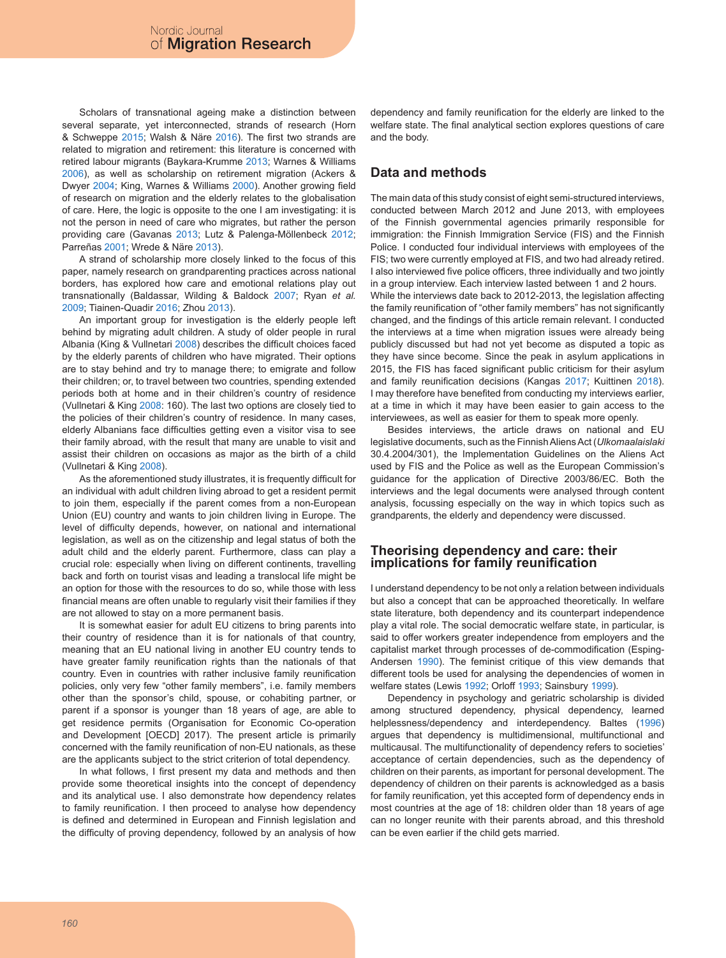Scholars of transnational ageing make a distinction between several separate, yet interconnected, strands of research (Horn & Schweppe 2015; Walsh & Näre 2016). The first two strands are related to migration and retirement: this literature is concerned with retired labour migrants (Baykara-Krumme 2013; Warnes & Williams 2006), as well as scholarship on retirement migration (Ackers & Dwyer 2004; King, Warnes & Williams 2000). Another growing field of research on migration and the elderly relates to the globalisation of care. Here, the logic is opposite to the one I am investigating: it is not the person in need of care who migrates, but rather the person providing care (Gavanas 2013; Lutz & Palenga-Möllenbeck 2012; Parreñas 2001; Wrede & Näre 2013).

A strand of scholarship more closely linked to the focus of this paper, namely research on grandparenting practices across national borders, has explored how care and emotional relations play out transnationally (Baldassar, Wilding & Baldock 2007; Ryan *et al.* 2009; Tiainen-Quadir 2016; Zhou 2013).

An important group for investigation is the elderly people left behind by migrating adult children. A study of older people in rural Albania (King & Vullnetari 2008) describes the difficult choices faced by the elderly parents of children who have migrated. Their options are to stay behind and try to manage there; to emigrate and follow their children; or, to travel between two countries, spending extended periods both at home and in their children's country of residence (Vullnetari & King 2008: 160). The last two options are closely tied to the policies of their children's country of residence. In many cases, elderly Albanians face difficulties getting even a visitor visa to see their family abroad, with the result that many are unable to visit and assist their children on occasions as major as the birth of a child (Vullnetari & King 2008).

As the aforementioned study illustrates, it is frequently difficult for an individual with adult children living abroad to get a resident permit to join them, especially if the parent comes from a non-European Union (EU) country and wants to join children living in Europe. The level of difficulty depends, however, on national and international legislation, as well as on the citizenship and legal status of both the adult child and the elderly parent. Furthermore, class can play a crucial role: especially when living on different continents, travelling back and forth on tourist visas and leading a translocal life might be an option for those with the resources to do so, while those with less financial means are often unable to regularly visit their families if they are not allowed to stay on a more permanent basis.

It is somewhat easier for adult EU citizens to bring parents into their country of residence than it is for nationals of that country, meaning that an EU national living in another EU country tends to have greater family reunification rights than the nationals of that country. Even in countries with rather inclusive family reunification policies, only very few "other family members", i.e. family members other than the sponsor's child, spouse, or cohabiting partner, or parent if a sponsor is younger than 18 years of age, are able to get residence permits (Organisation for Economic Co-operation and Development [OECD] 2017). The present article is primarily concerned with the family reunification of non-EU nationals, as these are the applicants subject to the strict criterion of total dependency.

In what follows, I first present my data and methods and then provide some theoretical insights into the concept of dependency and its analytical use. I also demonstrate how dependency relates to family reunification. I then proceed to analyse how dependency is defined and determined in European and Finnish legislation and the difficulty of proving dependency, followed by an analysis of how dependency and family reunification for the elderly are linked to the welfare state. The final analytical section explores questions of care and the body.

## **Data and methods**

The main data of this study consist of eight semi-structured interviews, conducted between March 2012 and June 2013, with employees of the Finnish governmental agencies primarily responsible for immigration: the Finnish Immigration Service (FIS) and the Finnish Police. I conducted four individual interviews with employees of the FIS; two were currently employed at FIS, and two had already retired. I also interviewed five police officers, three individually and two jointly in a group interview. Each interview lasted between 1 and 2 hours. While the interviews date back to 2012-2013, the legislation affecting the family reunification of "other family members" has not significantly changed, and the findings of this article remain relevant. I conducted the interviews at a time when migration issues were already being publicly discussed but had not yet become as disputed a topic as they have since become. Since the peak in asylum applications in 2015, the FIS has faced significant public criticism for their asylum and family reunification decisions (Kangas 2017; Kuittinen 2018). I may therefore have benefited from conducting my interviews earlier, at a time in which it may have been easier to gain access to the interviewees, as well as easier for them to speak more openly.

Besides interviews, the article draws on national and EU legislative documents, such as the Finnish Aliens Act (*Ulkomaalaislaki* 30.4.2004/301), the Implementation Guidelines on the Aliens Act used by FIS and the Police as well as the European Commission's guidance for the application of Directive 2003/86/EC. Both the interviews and the legal documents were analysed through content analysis, focussing especially on the way in which topics such as grandparents, the elderly and dependency were discussed.

### **Theorising dependency and care: their implications for family reunification**

I understand dependency to be not only a relation between individuals but also a concept that can be approached theoretically. In welfare state literature, both dependency and its counterpart independence play a vital role. The social democratic welfare state, in particular, is said to offer workers greater independence from employers and the capitalist market through processes of de-commodification (Esping-Andersen 1990). The feminist critique of this view demands that different tools be used for analysing the dependencies of women in welfare states (Lewis 1992; Orloff 1993; Sainsbury 1999).

Dependency in psychology and geriatric scholarship is divided among structured dependency, physical dependency, learned helplessness/dependency and interdependency. Baltes (1996) argues that dependency is multidimensional, multifunctional and multicausal. The multifunctionality of dependency refers to societies' acceptance of certain dependencies, such as the dependency of children on their parents, as important for personal development. The dependency of children on their parents is acknowledged as a basis for family reunification, yet this accepted form of dependency ends in most countries at the age of 18: children older than 18 years of age can no longer reunite with their parents abroad, and this threshold can be even earlier if the child gets married.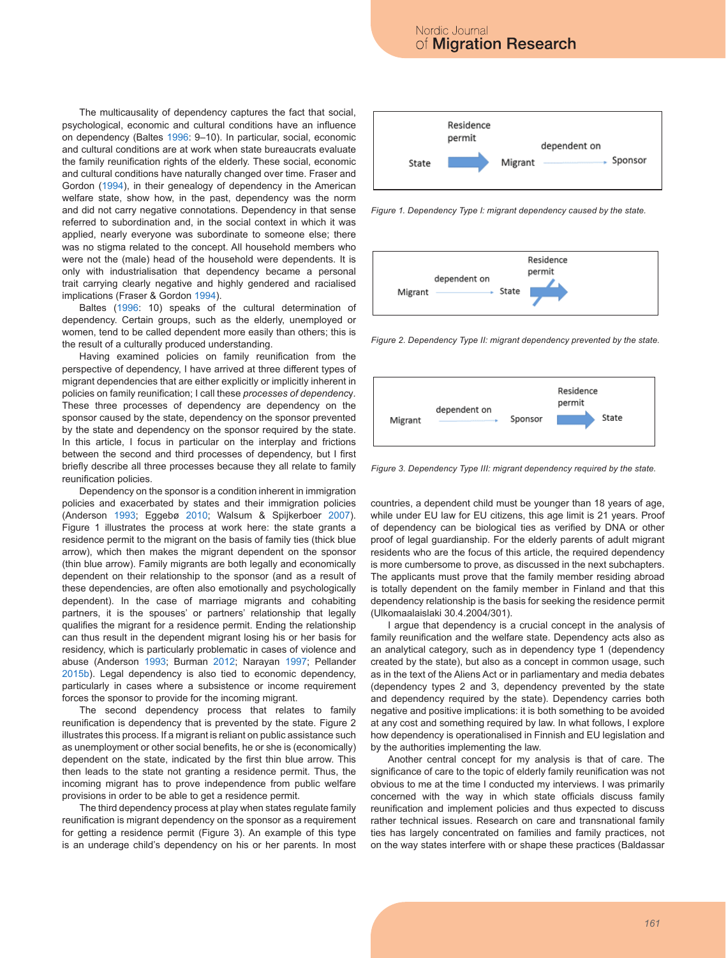**Figure 2.** Dependency Type II: migrant dependency prevented by the state.

The multicausality of dependency captures the fact that social, psychological, economic and cultural conditions have an influence on dependency (Baltes 1996: 9–10). In particular, social, economic and cultural conditions are at work when state bureaucrats evaluate the family reunification rights of the elderly. These social, economic and cultural conditions have naturally changed over time. Fraser and Gordon (1994), in their genealogy of dependency in the American welfare state, show how, in the past, dependency was the norm and did not carry negative connotations. Dependency in that sense referred to subordination and, in the social context in which it was applied, nearly everyone was subordinate to someone else; there was no stigma related to the concept. All household members who were not the (male) head of the household were dependents. It is only with industrialisation that dependency became a personal trait carrying clearly negative and highly gendered and racialised implications (Fraser & Gordon 1994).  $\frac{1}{\pi}$  this thin blue arrow. This then leads to the state not granting a residence permit. Thus, then  $\frac{1}{\pi}$ 

Baltes (1996: 10) speaks of the cultural determination of dependency. Certain groups, such as the elderly, unemployed or women, tend to be called dependent more easily than others; this is the result of a culturally produced understanding.

Having examined policies on family reunification from the perspective of dependency, I have arrived at three different types of migrant dependencies that are either explicitly or implicitly inherent in policies on family reunification; I call these *processes of dependenc*y*.* These three processes of dependency are dependency on the sponsor caused by the state, dependency on the sponsor prevented by the state and dependency on the sponsor required by the state. In this article, I focus in particular on the interplay and frictions between the second and third processes of dependency, but I first briefly describe all three processes because they all relate to family reunification policies.

Dependency on the sponsor is a condition inherent in immigration policies and exacerbated by states and their immigration policies (Anderson 1993; Eggebø 2010; Walsum & Spijkerboer 2007). Figure 1 illustrates the process at work here: the state grants a residence permit to the migrant on the basis of family ties (thick blue arrow), which then makes the migrant dependent on the sponsor arrow), which then makes the migrant dependent on the sponsor<br>(thin blue arrow). Family migrants are both legally and economically dependent on their relationship to the sponsor (and as a result of these dependencies, are often also emotionally and psychologically dependent). In the case of marriage migrants and cohabiting partners, it is the spouses' or partners' relationship that legally qualifies the migrant for a residence permit. Ending the relationship can thus result in the dependent migrant losing his or her basis for residency, which is particularly problematic in cases of violence and abuse (Anderson 1993; Burman 2012; Narayan 1997; Pellander 2015b). Legal dependency is also tied to economic dependency, particularly in cases where a subsistence or income requirement forces the sponsor to provide for the incoming migrant. incoming migrant has to provisions in dependence from public welfare provisions in order to be able to be able to be able to be able to be able to be able to be able to be able to be able to be able to be able to be able

The second dependency process that relates to family reunification is dependency that is prevented by the state. Figure 2 illustrates this process. If a migrant is reliant on public assistance such 8 as unemployment or other social benefits, he or she is (economically) dependent on the state, indicated by the first thin blue arrow. This then leads to the state not granting a residence permit. Thus, the incoming migrant has to prove independence from public welfare provisions in order to be able to get a residence permit.

The third dependency process at play when states regulate family reunification is migrant dependency on the sponsor as a requirement for getting a residence permit (Figure 3). An example of this type is an underage child's dependency on his or her parents. In most



*Figure 1. Dependency Type I: migrant dependency caused by the state.* **Figure 2.** Dependency Type II: migrant dependency prevented by the state. UUIII<br>2000 – Giroux 4, Dependence Time lonieurst dependence economicalistic state, in



Figure 2. Dependency Type II: migrant dependency prevented by the state.



Iffluy Figure 3. Dependency Type III: migrant dependency required by the state.<br>.

icies countries, a dependent child must be younger than 18 years of age, 007). while under EU law for EU citizens, this age limit is 21 years. Proof ts a of dependency can be biological ties as verified by DNA or other proof of legal guardianship. For the elderly parents of adult migrant residents who are the focus of this article, the required dependency is more cumbersome to prove, as discussed in the next subchapters. The applicants must prove that the family member residing abroad The applicants must prove that the family member residing abroad is totally dependent on the family member in Finland and that this dependency relationship is the basis for seeking the residence permit (Ulkomaalaislaki 30.4.2004/301).

I argue that dependency is a crucial concept in the analysis of family reunification and the welfare state. Dependency acts also as an analytical category, such as in dependency type 1 (dependency mention created by the state), but also as a concept in common usage, such other created by the state), but also as a concept in common usage, such as in the text of the Aliens Act or in parliamentary and media debates nent (dependency types 2 and 3, dependency prevented by the state and dependency required by the state). Dependency carries both amily negative and positive implications: it is both something to be avoided at any cost and something required by law. In what follows, I explore such how dependency is operationalised in Finnish and EU legislation and sponsor and by the authorities implementing the law.

Another central concept for my analysis is that of care. The significance of care to the topic of elderly family reunification was not<br>the significance of care to the topic of elderly family reunification was not obvious to me at the time I conducted my interviews. I was primarily concerned with the way in which state officials discuss family reunification and implement policies and thus expected to discuss rather technical issues. Research on care and transnational family ties has largely concentrated on families and family practices, not on the way states interfere with or shape these practices (Baldassar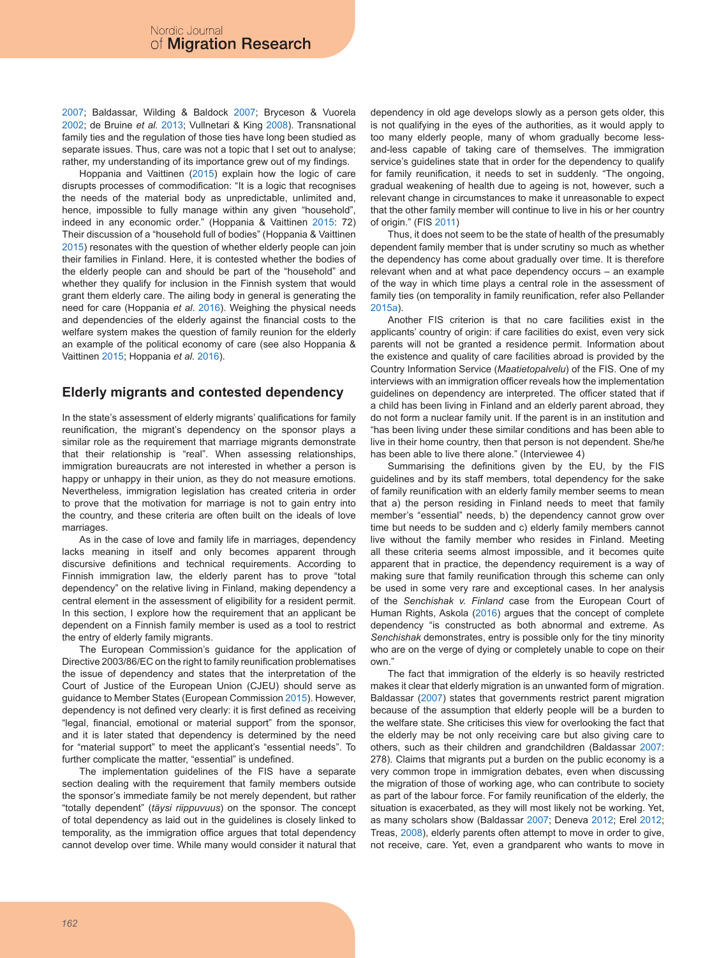2007; Baldassar, Wilding & Baldock 2007; Bryceson & Vuorela 2002; de Bruine *et al.* 2013; Vullnetari & King 2008). Transnational family ties and the regulation of those ties have long been studied as separate issues. Thus, care was not a topic that I set out to analyse; rather, my understanding of its importance grew out of my findings.

Hoppania and Vaittinen (2015) explain how the logic of care disrupts processes of commodification: "It is a logic that recognises the needs of the material body as unpredictable, unlimited and, hence, impossible to fully manage within any given "household", indeed in any economic order." (Hoppania & Vaittinen 2015: 72) Their discussion of a "household full of bodies" (Hoppania & Vaittinen 2015) resonates with the question of whether elderly people can join their families in Finland. Here, it is contested whether the bodies of the elderly people can and should be part of the "household" and whether they qualify for inclusion in the Finnish system that would grant them elderly care. The ailing body in general is generating the need for care (Hoppania *et al.* 2016). Weighing the physical needs and dependencies of the elderly against the financial costs to the welfare system makes the question of family reunion for the elderly an example of the political economy of care (see also Hoppania & Vaittinen 2015; Hoppania *et al.* 2016).

### **Elderly migrants and contested dependency**

In the state's assessment of elderly migrants' qualifications for family reunification, the migrant's dependency on the sponsor plays a similar role as the requirement that marriage migrants demonstrate that their relationship is "real". When assessing relationships, immigration bureaucrats are not interested in whether a person is happy or unhappy in their union, as they do not measure emotions. Nevertheless, immigration legislation has created criteria in order to prove that the motivation for marriage is not to gain entry into the country, and these criteria are often built on the ideals of love marriages.

As in the case of love and family life in marriages, dependency lacks meaning in itself and only becomes apparent through discursive definitions and technical requirements. According to Finnish immigration law, the elderly parent has to prove "total dependency" on the relative living in Finland, making dependency a central element in the assessment of eligibility for a resident permit. In this section, I explore how the requirement that an applicant be dependent on a Finnish family member is used as a tool to restrict the entry of elderly family migrants.

The European Commission's guidance for the application of Directive 2003/86/EC on the right to family reunification problematises the issue of dependency and states that the interpretation of the Court of Justice of the European Union (CJEU) should serve as guidance to Member States (European Commission 2015). However, dependency is not defined very clearly: it is first defined as receiving "legal, financial, emotional or material support" from the sponsor, and it is later stated that dependency is determined by the need for "material support" to meet the applicant's "essential needs". To further complicate the matter, "essential" is undefined.

The implementation guidelines of the FIS have a separate section dealing with the requirement that family members outside the sponsor's immediate family be not merely dependent, but rather "totally dependent" (*täysi riippuvuus*) on the sponsor. The concept of total dependency as laid out in the guidelines is closely linked to temporality, as the immigration office argues that total dependency cannot develop over time. While many would consider it natural that

dependency in old age develops slowly as a person gets older, this is not qualifying in the eyes of the authorities, as it would apply to too many elderly people, many of whom gradually become lessand-less capable of taking care of themselves. The immigration service's guidelines state that in order for the dependency to qualify for family reunification, it needs to set in suddenly. "The ongoing, gradual weakening of health due to ageing is not, however, such a relevant change in circumstances to make it unreasonable to expect that the other family member will continue to live in his or her country of origin." (FIS 2011)

Thus, it does not seem to be the state of health of the presumably dependent family member that is under scrutiny so much as whether the dependency has come about gradually over time. It is therefore relevant when and at what pace dependency occurs – an example of the way in which time plays a central role in the assessment of family ties (on temporality in family reunification, refer also Pellander 2015a).

Another FIS criterion is that no care facilities exist in the applicants' country of origin: if care facilities do exist, even very sick parents will not be granted a residence permit. Information about the existence and quality of care facilities abroad is provided by the Country Information Service (*Maatietopalvelu*) of the FIS. One of my interviews with an immigration officer reveals how the implementation guidelines on dependency are interpreted. The officer stated that if a child has been living in Finland and an elderly parent abroad, they do not form a nuclear family unit. If the parent is in an institution and "has been living under these similar conditions and has been able to live in their home country, then that person is not dependent. She/he has been able to live there alone." (Interviewee 4)

Summarising the definitions given by the EU, by the FIS guidelines and by its staff members, total dependency for the sake of family reunification with an elderly family member seems to mean that a) the person residing in Finland needs to meet that family member's "essential" needs, b) the dependency cannot grow over time but needs to be sudden and c) elderly family members cannot live without the family member who resides in Finland. Meeting all these criteria seems almost impossible, and it becomes quite apparent that in practice, the dependency requirement is a way of making sure that family reunification through this scheme can only be used in some very rare and exceptional cases. In her analysis of the *Senchishak v. Finland* case from the European Court of Human Rights, Askola (2016) argues that the concept of complete dependency "is constructed as both abnormal and extreme. As *Senchishak* demonstrates, entry is possible only for the tiny minority who are on the verge of dying or completely unable to cope on their own."

The fact that immigration of the elderly is so heavily restricted makes it clear that elderly migration is an unwanted form of migration. Baldassar (2007) states that governments restrict parent migration because of the assumption that elderly people will be a burden to the welfare state. She criticises this view for overlooking the fact that the elderly may be not only receiving care but also giving care to others, such as their children and grandchildren (Baldassar 2007: 278). Claims that migrants put a burden on the public economy is a very common trope in immigration debates, even when discussing the migration of those of working age, who can contribute to society as part of the labour force. For family reunification of the elderly, the situation is exacerbated, as they will most likely not be working. Yet, as many scholars show (Baldassar 2007; Deneva 2012; Erel 2012; Treas, 2008), elderly parents often attempt to move in order to give, not receive, care. Yet, even a grandparent who wants to move in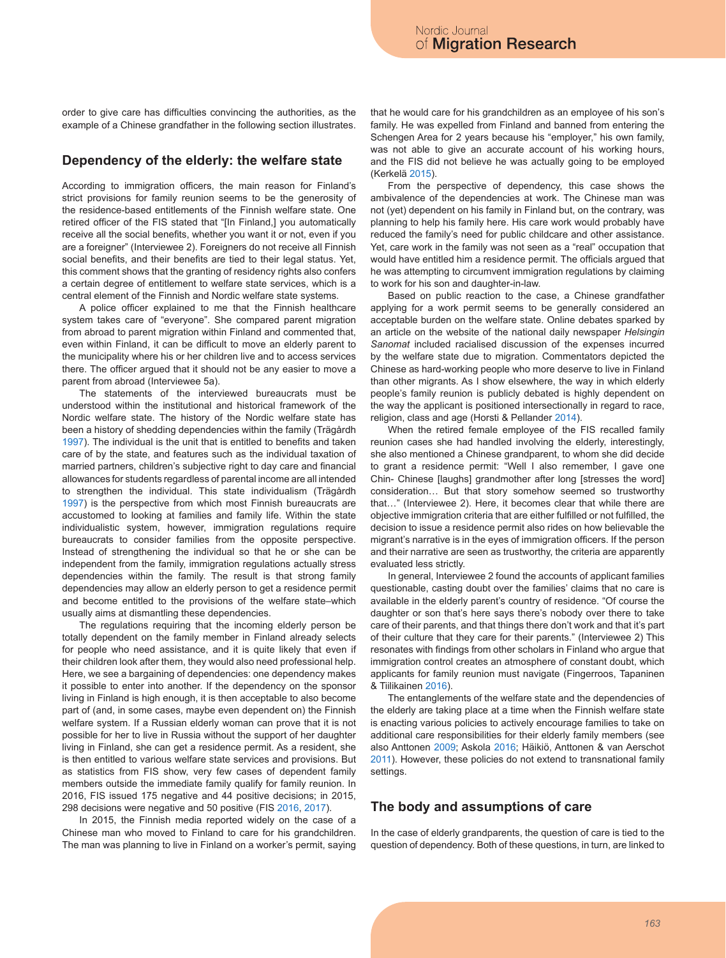order to give care has difficulties convincing the authorities, as the example of a Chinese grandfather in the following section illustrates.

### **Dependency of the elderly: the welfare state**

According to immigration officers, the main reason for Finland's strict provisions for family reunion seems to be the generosity of the residence-based entitlements of the Finnish welfare state. One retired officer of the FIS stated that "[In Finland,] you automatically receive all the social benefits, whether you want it or not, even if you are a foreigner" (Interviewee 2). Foreigners do not receive all Finnish social benefits, and their benefits are tied to their legal status. Yet, this comment shows that the granting of residency rights also confers a certain degree of entitlement to welfare state services, which is a central element of the Finnish and Nordic welfare state systems.

A police officer explained to me that the Finnish healthcare system takes care of "everyone". She compared parent migration from abroad to parent migration within Finland and commented that, even within Finland, it can be difficult to move an elderly parent to the municipality where his or her children live and to access services there. The officer argued that it should not be any easier to move a parent from abroad (Interviewee 5a).

The statements of the interviewed bureaucrats must be understood within the institutional and historical framework of the Nordic welfare state. The history of the Nordic welfare state has been a history of shedding dependencies within the family (Trägårdh 1997). The individual is the unit that is entitled to benefits and taken care of by the state, and features such as the individual taxation of married partners, children's subjective right to day care and financial allowances for students regardless of parental income are all intended to strengthen the individual. This state individualism (Trägårdh 1997) is the perspective from which most Finnish bureaucrats are accustomed to looking at families and family life. Within the state individualistic system, however, immigration regulations require bureaucrats to consider families from the opposite perspective. Instead of strengthening the individual so that he or she can be independent from the family, immigration regulations actually stress dependencies within the family. The result is that strong family dependencies may allow an elderly person to get a residence permit and become entitled to the provisions of the welfare state–which usually aims at dismantling these dependencies.

The regulations requiring that the incoming elderly person be totally dependent on the family member in Finland already selects for people who need assistance, and it is quite likely that even if their children look after them, they would also need professional help. Here, we see a bargaining of dependencies: one dependency makes it possible to enter into another. If the dependency on the sponsor living in Finland is high enough, it is then acceptable to also become part of (and, in some cases, maybe even dependent on) the Finnish welfare system. If a Russian elderly woman can prove that it is not possible for her to live in Russia without the support of her daughter living in Finland, she can get a residence permit. As a resident, she is then entitled to various welfare state services and provisions. But as statistics from FIS show, very few cases of dependent family members outside the immediate family qualify for family reunion. In 2016, FIS issued 175 negative and 44 positive decisions; in 2015, 298 decisions were negative and 50 positive (FIS 2016, 2017).

In 2015, the Finnish media reported widely on the case of a Chinese man who moved to Finland to care for his grandchildren. The man was planning to live in Finland on a worker's permit, saying that he would care for his grandchildren as an employee of his son's family. He was expelled from Finland and banned from entering the Schengen Area for 2 years because his "employer," his own family, was not able to give an accurate account of his working hours, and the FIS did not believe he was actually going to be employed (Kerkelä 2015).

From the perspective of dependency, this case shows the ambivalence of the dependencies at work. The Chinese man was not (yet) dependent on his family in Finland but, on the contrary, was planning to help his family here. His care work would probably have reduced the family's need for public childcare and other assistance. Yet, care work in the family was not seen as a "real" occupation that would have entitled him a residence permit. The officials argued that he was attempting to circumvent immigration regulations by claiming to work for his son and daughter-in-law.

Based on public reaction to the case, a Chinese grandfather applying for a work permit seems to be generally considered an acceptable burden on the welfare state. Online debates sparked by an article on the website of the national daily newspaper *Helsingin Sanomat* included racialised discussion of the expenses incurred by the welfare state due to migration. Commentators depicted the Chinese as hard-working people who more deserve to live in Finland than other migrants. As I show elsewhere, the way in which elderly people's family reunion is publicly debated is highly dependent on the way the applicant is positioned intersectionally in regard to race, religion, class and age (Horsti & Pellander 2014).

When the retired female employee of the FIS recalled family reunion cases she had handled involving the elderly, interestingly, she also mentioned a Chinese grandparent, to whom she did decide to grant a residence permit: "Well I also remember, I gave one Chin- Chinese [laughs] grandmother after long [stresses the word] consideration… But that story somehow seemed so trustworthy that…" (Interviewee 2). Here, it becomes clear that while there are objective immigration criteria that are either fulfilled or not fulfilled, the decision to issue a residence permit also rides on how believable the migrant's narrative is in the eyes of immigration officers. If the person and their narrative are seen as trustworthy, the criteria are apparently evaluated less strictly.

In general, Interviewee 2 found the accounts of applicant families questionable, casting doubt over the families' claims that no care is available in the elderly parent's country of residence. "Of course the daughter or son that's here says there's nobody over there to take care of their parents, and that things there don't work and that it's part of their culture that they care for their parents." (Interviewee 2) This resonates with findings from other scholars in Finland who argue that immigration control creates an atmosphere of constant doubt, which applicants for family reunion must navigate (Fingerroos, Tapaninen & Tiilikainen 2016).

The entanglements of the welfare state and the dependencies of the elderly are taking place at a time when the Finnish welfare state is enacting various policies to actively encourage families to take on additional care responsibilities for their elderly family members (see also Anttonen 2009; Askola 2016; Häikiö, Anttonen & van Aerschot 2011). However, these policies do not extend to transnational family settings.

### **The body and assumptions of care**

In the case of elderly grandparents, the question of care is tied to the question of dependency. Both of these questions, in turn, are linked to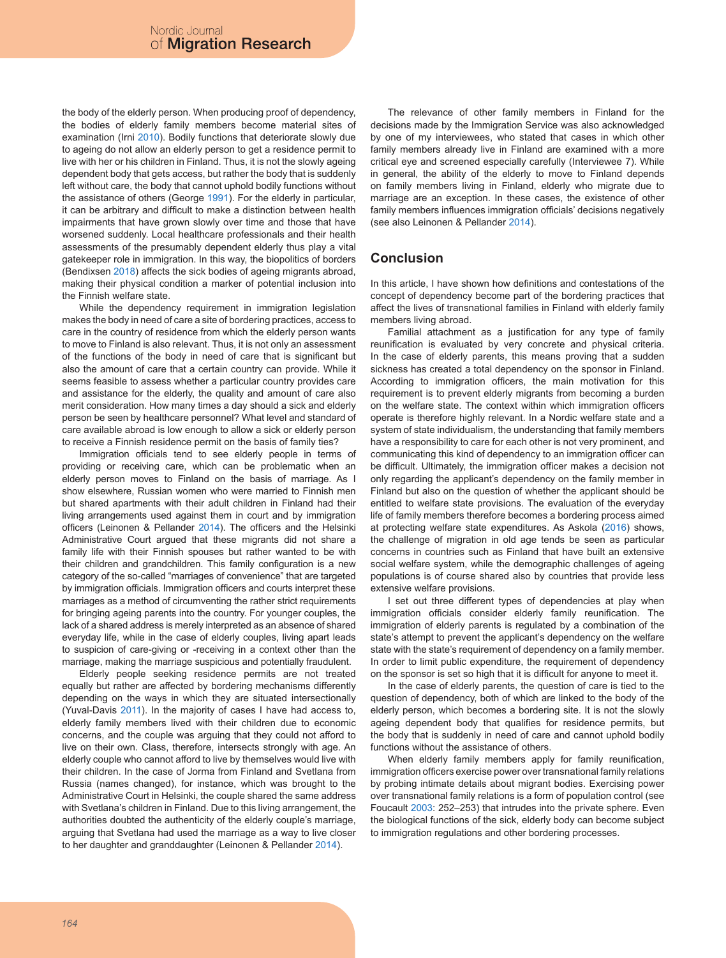the body of the elderly person. When producing proof of dependency, the bodies of elderly family members become material sites of examination (Irni 2010). Bodily functions that deteriorate slowly due to ageing do not allow an elderly person to get a residence permit to live with her or his children in Finland. Thus, it is not the slowly ageing dependent body that gets access, but rather the body that is suddenly left without care, the body that cannot uphold bodily functions without the assistance of others (George 1991). For the elderly in particular, it can be arbitrary and difficult to make a distinction between health impairments that have grown slowly over time and those that have worsened suddenly. Local healthcare professionals and their health assessments of the presumably dependent elderly thus play a vital gatekeeper role in immigration. In this way, the biopolitics of borders (Bendixsen 2018) affects the sick bodies of ageing migrants abroad, making their physical condition a marker of potential inclusion into the Finnish welfare state.

While the dependency requirement in immigration legislation makes the body in need of care a site of bordering practices, access to care in the country of residence from which the elderly person wants to move to Finland is also relevant. Thus, it is not only an assessment of the functions of the body in need of care that is significant but also the amount of care that a certain country can provide. While it seems feasible to assess whether a particular country provides care and assistance for the elderly, the quality and amount of care also merit consideration. How many times a day should a sick and elderly person be seen by healthcare personnel? What level and standard of care available abroad is low enough to allow a sick or elderly person to receive a Finnish residence permit on the basis of family ties?

Immigration officials tend to see elderly people in terms of providing or receiving care, which can be problematic when an elderly person moves to Finland on the basis of marriage. As I show elsewhere, Russian women who were married to Finnish men but shared apartments with their adult children in Finland had their living arrangements used against them in court and by immigration officers (Leinonen & Pellander 2014). The officers and the Helsinki Administrative Court argued that these migrants did not share a family life with their Finnish spouses but rather wanted to be with their children and grandchildren. This family configuration is a new category of the so-called "marriages of convenience" that are targeted by immigration officials. Immigration officers and courts interpret these marriages as a method of circumventing the rather strict requirements for bringing ageing parents into the country. For younger couples, the lack of a shared address is merely interpreted as an absence of shared everyday life, while in the case of elderly couples, living apart leads to suspicion of care-giving or -receiving in a context other than the marriage, making the marriage suspicious and potentially fraudulent.

Elderly people seeking residence permits are not treated equally but rather are affected by bordering mechanisms differently depending on the ways in which they are situated intersectionally (Yuval-Davis 2011). In the majority of cases I have had access to, elderly family members lived with their children due to economic concerns, and the couple was arguing that they could not afford to live on their own. Class, therefore, intersects strongly with age. An elderly couple who cannot afford to live by themselves would live with their children. In the case of Jorma from Finland and Svetlana from Russia (names changed), for instance, which was brought to the Administrative Court in Helsinki, the couple shared the same address with Svetlana's children in Finland. Due to this living arrangement, the authorities doubted the authenticity of the elderly couple's marriage, arguing that Svetlana had used the marriage as a way to live closer to her daughter and granddaughter (Leinonen & Pellander 2014).

The relevance of other family members in Finland for the decisions made by the Immigration Service was also acknowledged by one of my interviewees, who stated that cases in which other family members already live in Finland are examined with a more critical eye and screened especially carefully (Interviewee 7). While in general, the ability of the elderly to move to Finland depends on family members living in Finland, elderly who migrate due to marriage are an exception. In these cases, the existence of other family members influences immigration officials' decisions negatively (see also Leinonen & Pellander 2014).

# **Conclusion**

In this article, I have shown how definitions and contestations of the concept of dependency become part of the bordering practices that affect the lives of transnational families in Finland with elderly family members living abroad.

Familial attachment as a justification for any type of family reunification is evaluated by very concrete and physical criteria. In the case of elderly parents, this means proving that a sudden sickness has created a total dependency on the sponsor in Finland. According to immigration officers, the main motivation for this requirement is to prevent elderly migrants from becoming a burden on the welfare state. The context within which immigration officers operate is therefore highly relevant. In a Nordic welfare state and a system of state individualism, the understanding that family members have a responsibility to care for each other is not very prominent, and communicating this kind of dependency to an immigration officer can be difficult. Ultimately, the immigration officer makes a decision not only regarding the applicant's dependency on the family member in Finland but also on the question of whether the applicant should be entitled to welfare state provisions. The evaluation of the everyday life of family members therefore becomes a bordering process aimed at protecting welfare state expenditures. As Askola (2016) shows, the challenge of migration in old age tends be seen as particular concerns in countries such as Finland that have built an extensive social welfare system, while the demographic challenges of ageing populations is of course shared also by countries that provide less extensive welfare provisions.

I set out three different types of dependencies at play when immigration officials consider elderly family reunification. The immigration of elderly parents is regulated by a combination of the state's attempt to prevent the applicant's dependency on the welfare state with the state's requirement of dependency on a family member. In order to limit public expenditure, the requirement of dependency on the sponsor is set so high that it is difficult for anyone to meet it.

In the case of elderly parents, the question of care is tied to the question of dependency, both of which are linked to the body of the elderly person, which becomes a bordering site. It is not the slowly ageing dependent body that qualifies for residence permits, but the body that is suddenly in need of care and cannot uphold bodily functions without the assistance of others.

When elderly family members apply for family reunification, immigration officers exercise power over transnational family relations by probing intimate details about migrant bodies. Exercising power over transnational family relations is a form of population control (see Foucault 2003: 252–253) that intrudes into the private sphere. Even the biological functions of the sick, elderly body can become subject to immigration regulations and other bordering processes.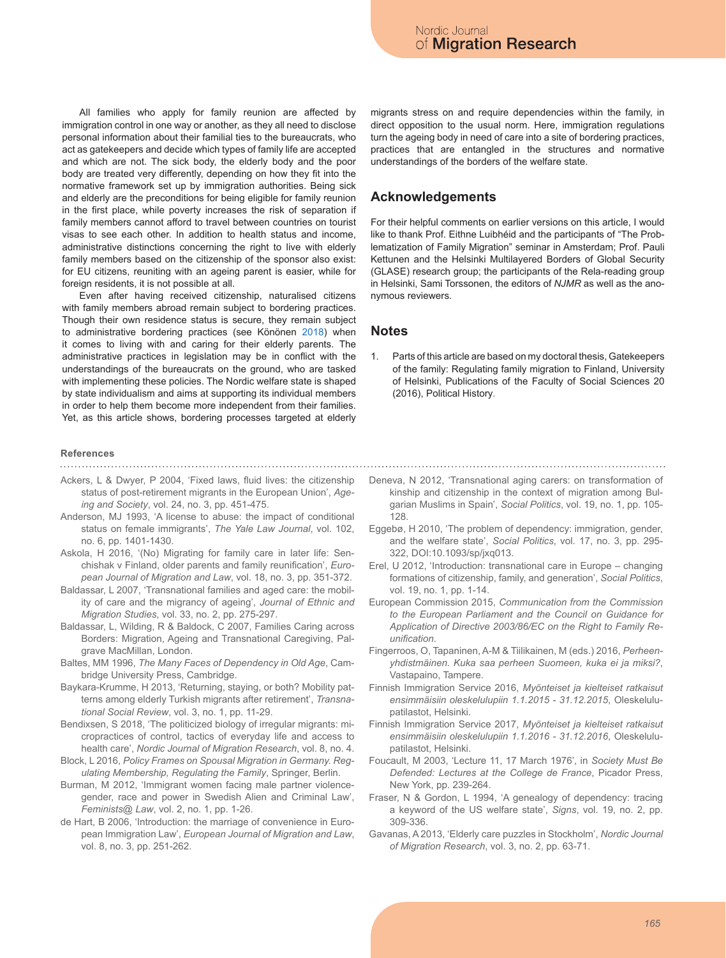All families who apply for family reunion are affected by immigration control in one way or another, as they all need to disclose personal information about their familial ties to the bureaucrats, who act as gatekeepers and decide which types of family life are accepted and which are not. The sick body, the elderly body and the poor body are treated very differently, depending on how they fit into the normative framework set up by immigration authorities. Being sick and elderly are the preconditions for being eligible for family reunion in the first place, while poverty increases the risk of separation if family members cannot afford to travel between countries on tourist visas to see each other. In addition to health status and income, administrative distinctions concerning the right to live with elderly family members based on the citizenship of the sponsor also exist: for EU citizens, reuniting with an ageing parent is easier, while for foreign residents, it is not possible at all.

Even after having received citizenship, naturalised citizens with family members abroad remain subject to bordering practices. Though their own residence status is secure, they remain subject to administrative bordering practices (see Könönen 2018) when it comes to living with and caring for their elderly parents. The administrative practices in legislation may be in conflict with the understandings of the bureaucrats on the ground, who are tasked with implementing these policies. The Nordic welfare state is shaped by state individualism and aims at supporting its individual members in order to help them become more independent from their families. Yet, as this article shows, bordering processes targeted at elderly

#### **References**

- Ackers, L & Dwyer, P 2004, 'Fixed laws, fluid lives: the citizenship status of post-retirement migrants in the European Union', *Ageing and Society*, vol. 24, no. 3, pp. 451-475.
- Anderson, MJ 1993, 'A license to abuse: the impact of conditional status on female immigrants', *The Yale Law Journal*, vol. 102, no. 6, pp. 1401-1430.
- Askola, H 2016, '(No) Migrating for family care in later life: Senchishak v Finland, older parents and family reunification', *European Journal of Migration and Law*, vol. 18, no. 3, pp. 351-372.
- Baldassar, L 2007, 'Transnational families and aged care: the mobility of care and the migrancy of ageing', *Journal of Ethnic and Migration Studies*, vol. 33, no. 2, pp. 275-297.
- Baldassar, L, Wilding, R & Baldock, C 2007, Families Caring across Borders: Migration, Ageing and Transnational Caregiving, Palgrave MacMillan, London.
- Baltes, MM 1996, *The Many Faces of Dependency in Old Age*, Cambridge University Press, Cambridge.
- Baykara-Krumme, H 2013, 'Returning, staying, or both? Mobility patterns among elderly Turkish migrants after retirement', *Transnational Social Review*, vol. 3, no. 1, pp. 11-29.
- Bendixsen, S 2018, 'The politicized biology of irregular migrants: micropractices of control, tactics of everyday life and access to health care', *Nordic Journal of Migration Research*, vol. 8, no. 4.
- Block, L 2016, *Policy Frames on Spousal Migration in Germany. Regulating Membership, Regulating the Family*, Springer, Berlin.
- Burman, M 2012, 'Immigrant women facing male partner violencegender, race and power in Swedish Alien and Criminal Law', *Feminists@ Law*, vol. 2, no. 1, pp. 1-26.
- de Hart, B 2006, 'Introduction: the marriage of convenience in European Immigration Law', *European Journal of Migration and Law*, vol. 8, no. 3, pp. 251-262.

migrants stress on and require dependencies within the family, in direct opposition to the usual norm. Here, immigration regulations turn the ageing body in need of care into a site of bordering practices, practices that are entangled in the structures and normative understandings of the borders of the welfare state.

### **Acknowledgements**

For their helpful comments on earlier versions on this article, I would like to thank Prof. Eithne Luibhéid and the participants of "The Problematization of Family Migration" seminar in Amsterdam; Prof. Pauli Kettunen and the Helsinki Multilayered Borders of Global Security (GLASE) research group; the participants of the Rela-reading group in Helsinki, Sami Torssonen, the editors of *NJMR* as well as the anonymous reviewers.

#### **Notes**

- 1. Parts of this article are based on my doctoral thesis, Gatekeepers of the family: Regulating family migration to Finland, University of Helsinki, Publications of the Faculty of Social Sciences 20 (2016), Political History*.*
- Deneva, N 2012, 'Transnational aging carers: on transformation of kinship and citizenship in the context of migration among Bulgarian Muslims in Spain', *Social Politics*, vol. 19, no. 1, pp. 105- 128.
- Eggebø, H 2010, 'The problem of dependency: immigration, gender, and the welfare state', *Social Politics*, vol. 17, no. 3, pp. 295- 322, DOI:10.1093/sp/jxq013.
- Erel, U 2012, 'Introduction: transnational care in Europe changing formations of citizenship, family, and generation', *Social Politics*, vol. 19, no. 1, pp. 1-14.
- European Commission 2015, *Communication from the Commission to the European Parliament and the Council on Guidance for Application of Directive 2003/86/EC on the Right to Family Reunification*.
- Fingerroos, O, Tapaninen, A-M & Tiilikainen, M (eds.) 2016, *Perheenyhdistmäinen. Kuka saa perheen Suomeen, kuka ei ja miksi?*, Vastapaino, Tampere.
- Finnish Immigration Service 2016, *Myönteiset ja kielteiset ratkaisut ensimmäisiin oleskelulupiin 1.1.2015 - 31.12.2015*, Oleskelulupatilastot, Helsinki.
- Finnish Immigration Service 2017, *Myönteiset ja kielteiset ratkaisut ensimmäisiin oleskelulupiin 1.1.2016 - 31.12.2016*, Oleskelulupatilastot, Helsinki.
- Foucault, M 2003, 'Lecture 11, 17 March 1976', in *Society Must Be Defended: Lectures at the College de France*, Picador Press, New York, pp. 239-264.
- Fraser, N & Gordon, L 1994, 'A genealogy of dependency: tracing a keyword of the US welfare state', *Signs*, vol. 19, no. 2, pp. 309-336.
- Gavanas, A 2013, 'Elderly care puzzles in Stockholm', *Nordic Journal of Migration Research*, vol. 3, no. 2, pp. 63-71.